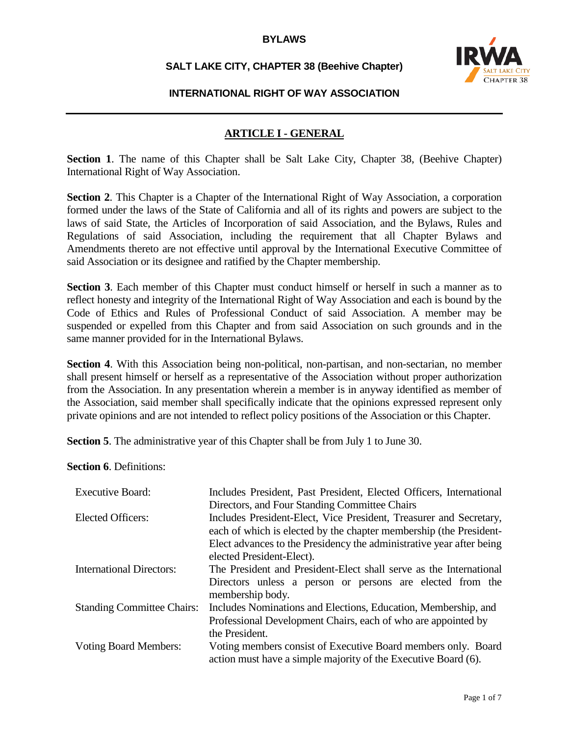### **SALT LAKE CITY, CHAPTER 38 (Beehive Chapter)**



### **INTERNATIONAL RIGHT OF WAY ASSOCIATION**

### **ARTICLE I - GENERAL**

**Section 1.** The name of this Chapter shall be Salt Lake City, Chapter 38, (Beehive Chapter) International Right of Way Association.

**Section 2**. This Chapter is a Chapter of the International Right of Way Association, a corporation formed under the laws of the State of California and all of its rights and powers are subject to the laws of said State, the Articles of Incorporation of said Association, and the Bylaws, Rules and Regulations of said Association, including the requirement that all Chapter Bylaws and Amendments thereto are not effective until approval by the International Executive Committee of said Association or its designee and ratified by the Chapter membership.

**Section 3.** Each member of this Chapter must conduct himself or herself in such a manner as to reflect honesty and integrity of the International Right of Way Association and each is bound by the Code of Ethics and Rules of Professional Conduct of said Association. A member may be suspended or expelled from this Chapter and from said Association on such grounds and in the same manner provided for in the International Bylaws.

**Section 4**. With this Association being non-political, non-partisan, and non-sectarian, no member shall present himself or herself as a representative of the Association without proper authorization from the Association. In any presentation wherein a member is in anyway identified as member of the Association, said member shall specifically indicate that the opinions expressed represent only private opinions and are not intended to reflect policy positions of the Association or this Chapter.

**Section 5**. The administrative year of this Chapter shall be from July 1 to June 30.

**Section 6**. Definitions:

| <b>Executive Board:</b>           | Includes President, Past President, Elected Officers, International<br>Directors, and Four Standing Committee Chairs                                                                                                                          |
|-----------------------------------|-----------------------------------------------------------------------------------------------------------------------------------------------------------------------------------------------------------------------------------------------|
| Elected Officers:                 | Includes President-Elect, Vice President, Treasurer and Secretary,<br>each of which is elected by the chapter membership (the President-<br>Elect advances to the Presidency the administrative year after being<br>elected President-Elect). |
| <b>International Directors:</b>   | The President and President-Elect shall serve as the International<br>Directors unless a person or persons are elected from the<br>membership body.                                                                                           |
| <b>Standing Committee Chairs:</b> | Includes Nominations and Elections, Education, Membership, and<br>Professional Development Chairs, each of who are appointed by<br>the President.                                                                                             |
| <b>Voting Board Members:</b>      | Voting members consist of Executive Board members only. Board<br>action must have a simple majority of the Executive Board (6).                                                                                                               |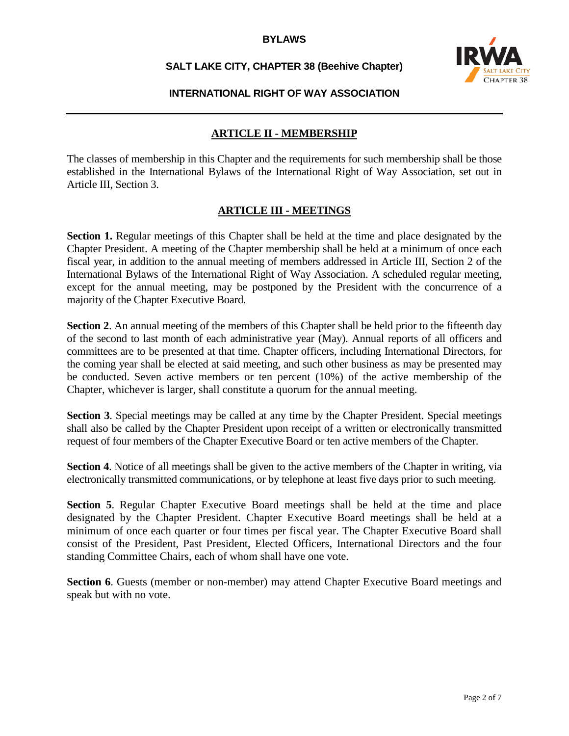### **SALT LAKE CITY, CHAPTER 38 (Beehive Chapter)**



#### **INTERNATIONAL RIGHT OF WAY ASSOCIATION**

#### **ARTICLE II - MEMBERSHIP**

The classes of membership in this Chapter and the requirements for such membership shall be those established in the International Bylaws of the International Right of Way Association, set out in Article III, Section 3.

### **ARTICLE III - MEETINGS**

**Section 1.** Regular meetings of this Chapter shall be held at the time and place designated by the Chapter President. A meeting of the Chapter membership shall be held at a minimum of once each fiscal year, in addition to the annual meeting of members addressed in Article III, Section 2 of the International Bylaws of the International Right of Way Association. A scheduled regular meeting, except for the annual meeting, may be postponed by the President with the concurrence of a majority of the Chapter Executive Board.

**Section 2.** An annual meeting of the members of this Chapter shall be held prior to the fifteenth day of the second to last month of each administrative year (May). Annual reports of all officers and committees are to be presented at that time. Chapter officers, including International Directors, for the coming year shall be elected at said meeting, and such other business as may be presented may be conducted. Seven active members or ten percent (10%) of the active membership of the Chapter, whichever is larger, shall constitute a quorum for the annual meeting.

**Section 3.** Special meetings may be called at any time by the Chapter President. Special meetings shall also be called by the Chapter President upon receipt of a written or electronically transmitted request of four members of the Chapter Executive Board or ten active members of the Chapter.

**Section 4**. Notice of all meetings shall be given to the active members of the Chapter in writing, via electronically transmitted communications, or by telephone at least five days prior to such meeting.

**Section 5**. Regular Chapter Executive Board meetings shall be held at the time and place designated by the Chapter President. Chapter Executive Board meetings shall be held at a minimum of once each quarter or four times per fiscal year. The Chapter Executive Board shall consist of the President, Past President, Elected Officers, International Directors and the four standing Committee Chairs, each of whom shall have one vote.

**Section 6.** Guests (member or non-member) may attend Chapter Executive Board meetings and speak but with no vote.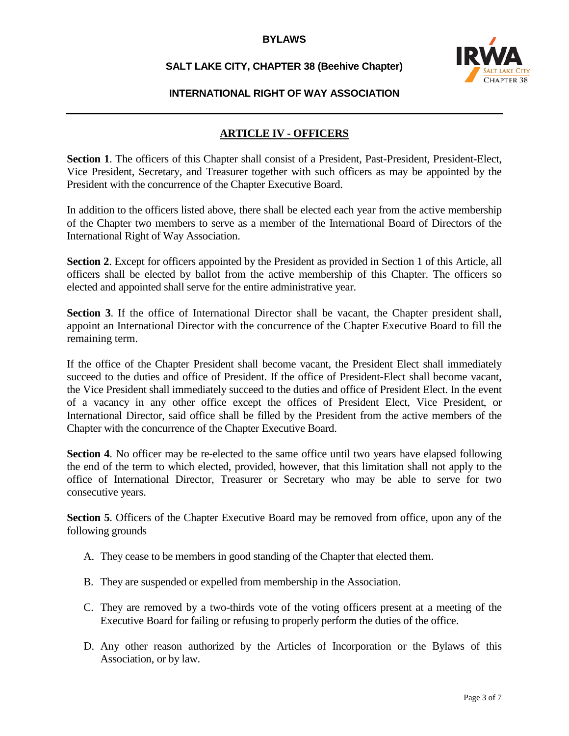# **SALT LAKE CITY, CHAPTER 38 (Beehive Chapter)**



### **INTERNATIONAL RIGHT OF WAY ASSOCIATION**

## **ARTICLE IV - OFFICERS**

**Section 1**. The officers of this Chapter shall consist of a President, Past-President, President-Elect, Vice President, Secretary, and Treasurer together with such officers as may be appointed by the President with the concurrence of the Chapter Executive Board.

In addition to the officers listed above, there shall be elected each year from the active membership of the Chapter two members to serve as a member of the International Board of Directors of the International Right of Way Association.

**Section 2.** Except for officers appointed by the President as provided in Section 1 of this Article, all officers shall be elected by ballot from the active membership of this Chapter. The officers so elected and appointed shall serve for the entire administrative year.

**Section 3.** If the office of International Director shall be vacant, the Chapter president shall, appoint an International Director with the concurrence of the Chapter Executive Board to fill the remaining term.

If the office of the Chapter President shall become vacant, the President Elect shall immediately succeed to the duties and office of President. If the office of President-Elect shall become vacant, the Vice President shall immediately succeed to the duties and office of President Elect. In the event of a vacancy in any other office except the offices of President Elect, Vice President, or International Director, said office shall be filled by the President from the active members of the Chapter with the concurrence of the Chapter Executive Board.

**Section 4.** No officer may be re-elected to the same office until two years have elapsed following the end of the term to which elected, provided, however, that this limitation shall not apply to the office of International Director, Treasurer or Secretary who may be able to serve for two consecutive years.

**Section 5.** Officers of the Chapter Executive Board may be removed from office, upon any of the following grounds

- A. They cease to be members in good standing of the Chapter that elected them.
- B. They are suspended or expelled from membership in the Association.
- C. They are removed by a two-thirds vote of the voting officers present at a meeting of the Executive Board for failing or refusing to properly perform the duties of the office.
- D. Any other reason authorized by the Articles of Incorporation or the Bylaws of this Association, or by law.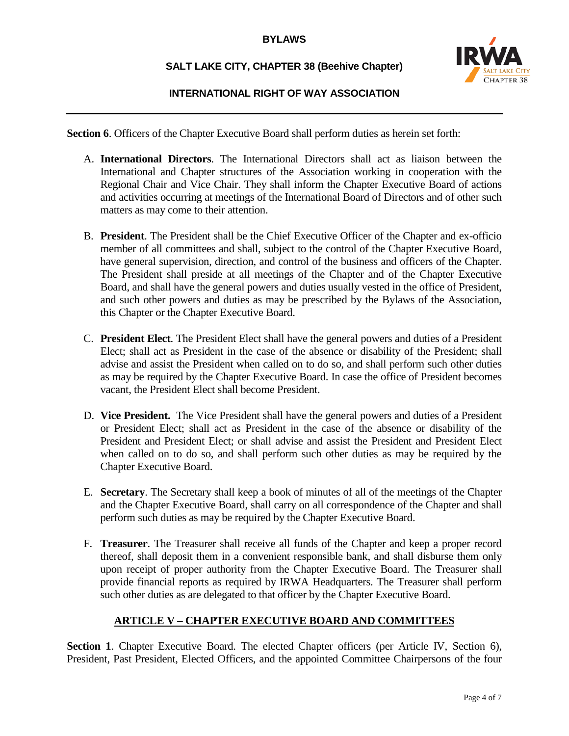## **SALT LAKE CITY, CHAPTER 38 (Beehive Chapter)**



### **INTERNATIONAL RIGHT OF WAY ASSOCIATION**

Section 6. Officers of the Chapter Executive Board shall perform duties as herein set forth:

- A. **International Directors**. The International Directors shall act as liaison between the International and Chapter structures of the Association working in cooperation with the Regional Chair and Vice Chair. They shall inform the Chapter Executive Board of actions and activities occurring at meetings of the International Board of Directors and of other such matters as may come to their attention.
- B. **President**. The President shall be the Chief Executive Officer of the Chapter and ex-officio member of all committees and shall, subject to the control of the Chapter Executive Board, have general supervision, direction, and control of the business and officers of the Chapter. The President shall preside at all meetings of the Chapter and of the Chapter Executive Board, and shall have the general powers and duties usually vested in the office of President, and such other powers and duties as may be prescribed by the Bylaws of the Association, this Chapter or the Chapter Executive Board.
- C. **President Elect**. The President Elect shall have the general powers and duties of a President Elect; shall act as President in the case of the absence or disability of the President; shall advise and assist the President when called on to do so, and shall perform such other duties as may be required by the Chapter Executive Board. In case the office of President becomes vacant, the President Elect shall become President.
- D. **Vice President.** The Vice President shall have the general powers and duties of a President or President Elect; shall act as President in the case of the absence or disability of the President and President Elect; or shall advise and assist the President and President Elect when called on to do so, and shall perform such other duties as may be required by the Chapter Executive Board.
- E. **Secretary**. The Secretary shall keep a book of minutes of all of the meetings of the Chapter and the Chapter Executive Board, shall carry on all correspondence of the Chapter and shall perform such duties as may be required by the Chapter Executive Board.
- F. **Treasurer**. The Treasurer shall receive all funds of the Chapter and keep a proper record thereof, shall deposit them in a convenient responsible bank, and shall disburse them only upon receipt of proper authority from the Chapter Executive Board. The Treasurer shall provide financial reports as required by IRWA Headquarters. The Treasurer shall perform such other duties as are delegated to that officer by the Chapter Executive Board.

## **ARTICLE V – CHAPTER EXECUTIVE BOARD AND COMMITTEES**

Section 1. Chapter Executive Board. The elected Chapter officers (per Article IV, Section 6), President, Past President, Elected Officers, and the appointed Committee Chairpersons of the four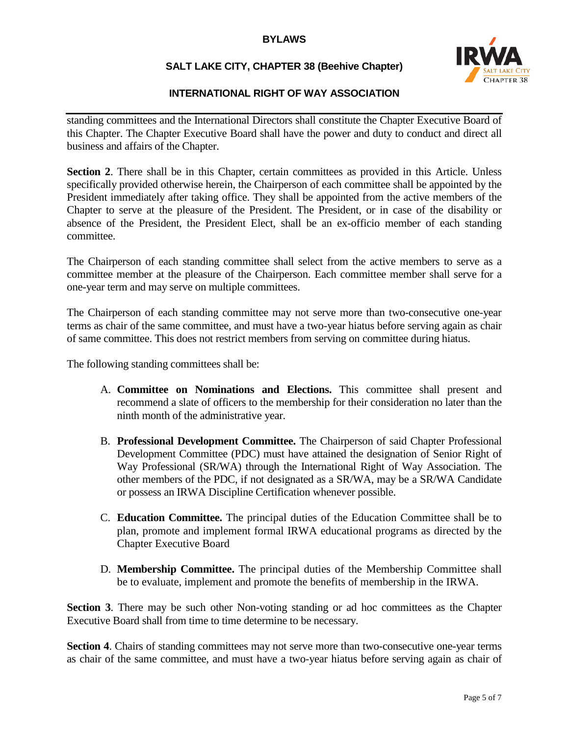## **SALT LAKE CITY, CHAPTER 38 (Beehive Chapter)**



### **INTERNATIONAL RIGHT OF WAY ASSOCIATION**

standing committees and the International Directors shall constitute the Chapter Executive Board of this Chapter. The Chapter Executive Board shall have the power and duty to conduct and direct all business and affairs of the Chapter.

Section 2. There shall be in this Chapter, certain committees as provided in this Article. Unless specifically provided otherwise herein, the Chairperson of each committee shall be appointed by the President immediately after taking office. They shall be appointed from the active members of the Chapter to serve at the pleasure of the President. The President, or in case of the disability or absence of the President, the President Elect, shall be an ex-officio member of each standing committee.

The Chairperson of each standing committee shall select from the active members to serve as a committee member at the pleasure of the Chairperson. Each committee member shall serve for a one-year term and may serve on multiple committees.

The Chairperson of each standing committee may not serve more than two-consecutive one-year terms as chair of the same committee, and must have a two-year hiatus before serving again as chair of same committee. This does not restrict members from serving on committee during hiatus.

The following standing committees shall be:

- A. **Committee on Nominations and Elections.** This committee shall present and recommend a slate of officers to the membership for their consideration no later than the ninth month of the administrative year.
- B. **Professional Development Committee.** The Chairperson of said Chapter Professional Development Committee (PDC) must have attained the designation of Senior Right of Way Professional (SR/WA) through the International Right of Way Association. The other members of the PDC, if not designated as a SR/WA, may be a SR/WA Candidate or possess an IRWA Discipline Certification whenever possible.
- C. **Education Committee.** The principal duties of the Education Committee shall be to plan, promote and implement formal IRWA educational programs as directed by the Chapter Executive Board
- D. **Membership Committee.** The principal duties of the Membership Committee shall be to evaluate, implement and promote the benefits of membership in the IRWA.

**Section 3**. There may be such other Non-voting standing or ad hoc committees as the Chapter Executive Board shall from time to time determine to be necessary.

**Section 4.** Chairs of standing committees may not serve more than two-consecutive one-year terms as chair of the same committee, and must have a two-year hiatus before serving again as chair of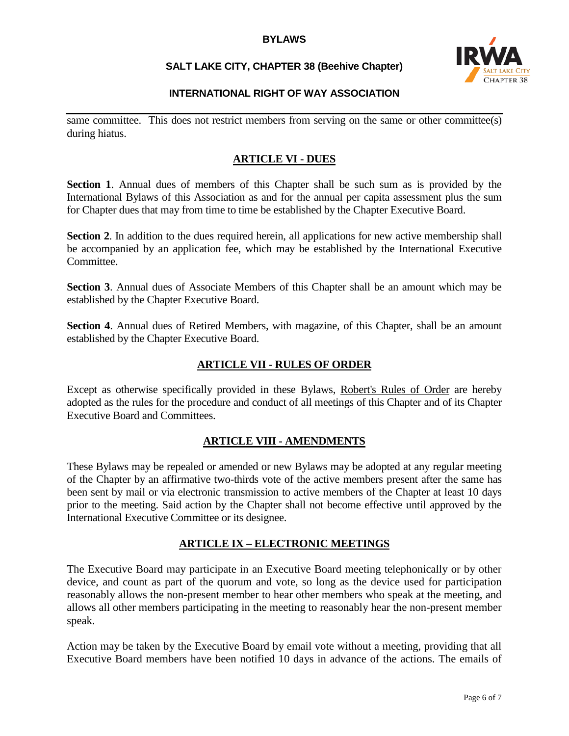# **SALT LAKE CITY, CHAPTER 38 (Beehive Chapter)**



# **INTERNATIONAL RIGHT OF WAY ASSOCIATION**

same committee. This does not restrict members from serving on the same or other committee(s) during hiatus.

## **ARTICLE VI - DUES**

**Section 1**. Annual dues of members of this Chapter shall be such sum as is provided by the International Bylaws of this Association as and for the annual per capita assessment plus the sum for Chapter dues that may from time to time be established by the Chapter Executive Board.

**Section 2.** In addition to the dues required herein, all applications for new active membership shall be accompanied by an application fee, which may be established by the International Executive Committee.

**Section 3.** Annual dues of Associate Members of this Chapter shall be an amount which may be established by the Chapter Executive Board.

**Section 4**. Annual dues of Retired Members, with magazine, of this Chapter, shall be an amount established by the Chapter Executive Board.

### **ARTICLE VII - RULES OF ORDER**

Except as otherwise specifically provided in these Bylaws, Robert's Rules of Order are hereby adopted as the rules for the procedure and conduct of all meetings of this Chapter and of its Chapter Executive Board and Committees.

### **ARTICLE VIII - AMENDMENTS**

These Bylaws may be repealed or amended or new Bylaws may be adopted at any regular meeting of the Chapter by an affirmative two-thirds vote of the active members present after the same has been sent by mail or via electronic transmission to active members of the Chapter at least 10 days prior to the meeting. Said action by the Chapter shall not become effective until approved by the International Executive Committee or its designee.

## **ARTICLE IX – ELECTRONIC MEETINGS**

The Executive Board may participate in an Executive Board meeting telephonically or by other device, and count as part of the quorum and vote, so long as the device used for participation reasonably allows the non-present member to hear other members who speak at the meeting, and allows all other members participating in the meeting to reasonably hear the non-present member speak.

Action may be taken by the Executive Board by email vote without a meeting, providing that all Executive Board members have been notified 10 days in advance of the actions. The emails of